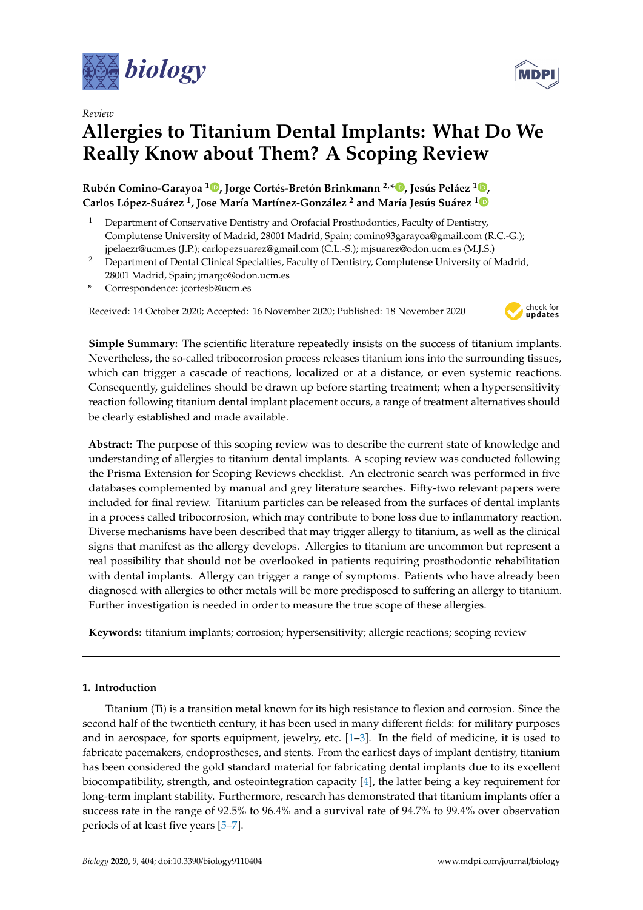

*Review*

# **Allergies to Titanium Dental Implants: What Do We Really Know about Them? A Scoping Review**

# **Rubén Comino-Garayoa <sup>1</sup> [,](https://orcid.org/0000-0001-5743-1117) Jorge Cortés-Bretón Brinkmann 2,\* [,](https://orcid.org/0000-0003-1701-8867) Jesús Peláez <sup>1</sup> [,](https://orcid.org/0000-0002-1422-5257)** Carlos López-Suárez <sup>[1](https://orcid.org/0000-0001-7452-9255)</sup>, Jose María Martínez-González <sup>2</sup> and María Jesús Suárez <sup>1</sup>

- <sup>1</sup> Department of Conservative Dentistry and Orofacial Prosthodontics, Faculty of Dentistry, Complutense University of Madrid, 28001 Madrid, Spain; comino93garayoa@gmail.com (R.C.-G.); jpelaezr@ucm.es (J.P.); carlopezsuarez@gmail.com (C.L.-S.); mjsuarez@odon.ucm.es (M.J.S.)
- <sup>2</sup> Department of Dental Clinical Specialties, Faculty of Dentistry, Complutense University of Madrid, 28001 Madrid, Spain; jmargo@odon.ucm.es
- **\*** Correspondence: jcortesb@ucm.es

Received: 14 October 2020; Accepted: 16 November 2020; Published: 18 November 2020



**Simple Summary:** The scientific literature repeatedly insists on the success of titanium implants. Nevertheless, the so-called tribocorrosion process releases titanium ions into the surrounding tissues, which can trigger a cascade of reactions, localized or at a distance, or even systemic reactions. Consequently, guidelines should be drawn up before starting treatment; when a hypersensitivity reaction following titanium dental implant placement occurs, a range of treatment alternatives should be clearly established and made available.

**Abstract:** The purpose of this scoping review was to describe the current state of knowledge and understanding of allergies to titanium dental implants. A scoping review was conducted following the Prisma Extension for Scoping Reviews checklist. An electronic search was performed in five databases complemented by manual and grey literature searches. Fifty-two relevant papers were included for final review. Titanium particles can be released from the surfaces of dental implants in a process called tribocorrosion, which may contribute to bone loss due to inflammatory reaction. Diverse mechanisms have been described that may trigger allergy to titanium, as well as the clinical signs that manifest as the allergy develops. Allergies to titanium are uncommon but represent a real possibility that should not be overlooked in patients requiring prosthodontic rehabilitation with dental implants. Allergy can trigger a range of symptoms. Patients who have already been diagnosed with allergies to other metals will be more predisposed to suffering an allergy to titanium. Further investigation is needed in order to measure the true scope of these allergies.

**Keywords:** titanium implants; corrosion; hypersensitivity; allergic reactions; scoping review

# **1. Introduction**

Titanium (Ti) is a transition metal known for its high resistance to flexion and corrosion. Since the second half of the twentieth century, it has been used in many different fields: for military purposes and in aerospace, for sports equipment, jewelry, etc.  $[1-3]$  $[1-3]$ . In the field of medicine, it is used to fabricate pacemakers, endoprostheses, and stents. From the earliest days of implant dentistry, titanium has been considered the gold standard material for fabricating dental implants due to its excellent biocompatibility, strength, and osteointegration capacity [\[4\]](#page-11-2), the latter being a key requirement for long-term implant stability. Furthermore, research has demonstrated that titanium implants offer a success rate in the range of 92.5% to 96.4% and a survival rate of 94.7% to 99.4% over observation periods of at least five years [\[5–](#page-11-3)[7\]](#page-11-4).

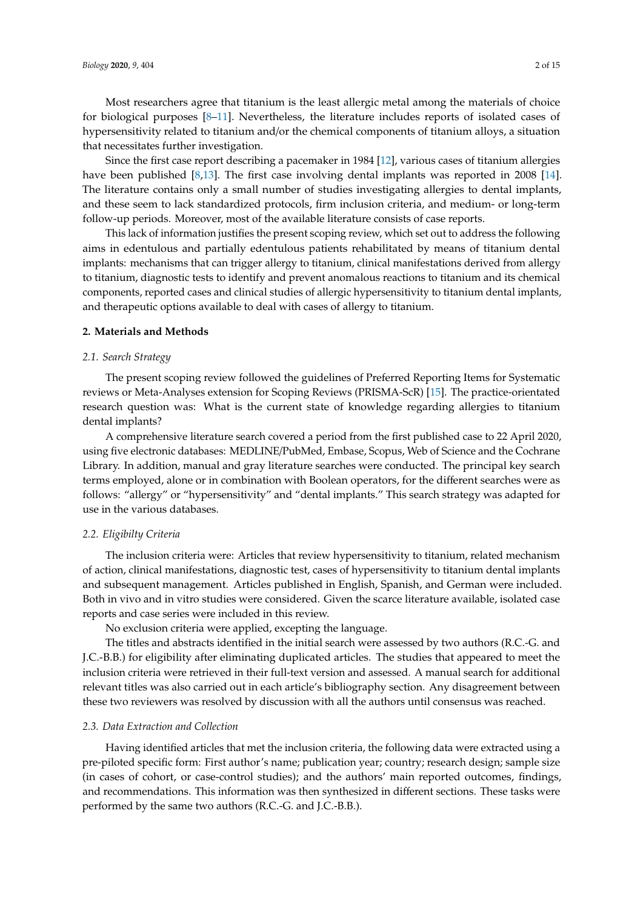Most researchers agree that titanium is the least allergic metal among the materials of choice for biological purposes [\[8–](#page-11-5)[11\]](#page-11-6). Nevertheless, the literature includes reports of isolated cases of hypersensitivity related to titanium and/or the chemical components of titanium alloys, a situation that necessitates further investigation.

Since the first case report describing a pacemaker in 1984 [\[12\]](#page-11-7), various cases of titanium allergies have been published [\[8,](#page-11-5)[13\]](#page-12-0). The first case involving dental implants was reported in 2008 [\[14\]](#page-12-1). The literature contains only a small number of studies investigating allergies to dental implants, and these seem to lack standardized protocols, firm inclusion criteria, and medium- or long-term follow-up periods. Moreover, most of the available literature consists of case reports.

This lack of information justifies the present scoping review, which set out to address the following aims in edentulous and partially edentulous patients rehabilitated by means of titanium dental implants: mechanisms that can trigger allergy to titanium, clinical manifestations derived from allergy to titanium, diagnostic tests to identify and prevent anomalous reactions to titanium and its chemical components, reported cases and clinical studies of allergic hypersensitivity to titanium dental implants, and therapeutic options available to deal with cases of allergy to titanium.

# **2. Materials and Methods**

#### *2.1. Search Strategy*

The present scoping review followed the guidelines of Preferred Reporting Items for Systematic reviews or Meta-Analyses extension for Scoping Reviews (PRISMA-ScR) [\[15\]](#page-12-2). The practice-orientated research question was: What is the current state of knowledge regarding allergies to titanium dental implants?

A comprehensive literature search covered a period from the first published case to 22 April 2020, using five electronic databases: MEDLINE/PubMed, Embase, Scopus, Web of Science and the Cochrane Library. In addition, manual and gray literature searches were conducted. The principal key search terms employed, alone or in combination with Boolean operators, for the different searches were as follows: "allergy" or "hypersensitivity" and "dental implants." This search strategy was adapted for use in the various databases.

#### *2.2. Eligibilty Criteria*

The inclusion criteria were: Articles that review hypersensitivity to titanium, related mechanism of action, clinical manifestations, diagnostic test, cases of hypersensitivity to titanium dental implants and subsequent management. Articles published in English, Spanish, and German were included. Both in vivo and in vitro studies were considered. Given the scarce literature available, isolated case reports and case series were included in this review.

No exclusion criteria were applied, excepting the language.

The titles and abstracts identified in the initial search were assessed by two authors (R.C.-G. and J.C.-B.B.) for eligibility after eliminating duplicated articles. The studies that appeared to meet the inclusion criteria were retrieved in their full-text version and assessed. A manual search for additional relevant titles was also carried out in each article's bibliography section. Any disagreement between these two reviewers was resolved by discussion with all the authors until consensus was reached.

#### *2.3. Data Extraction and Collection*

Having identified articles that met the inclusion criteria, the following data were extracted using a pre-piloted specific form: First author's name; publication year; country; research design; sample size (in cases of cohort, or case-control studies); and the authors' main reported outcomes, findings, and recommendations. This information was then synthesized in different sections. These tasks were performed by the same two authors (R.C.-G. and J.C.-B.B.).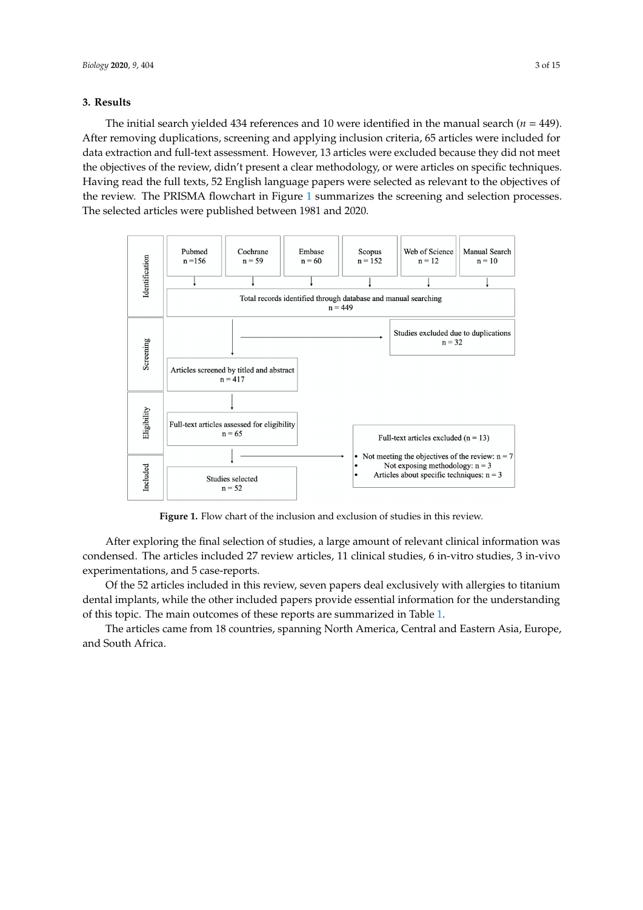# **3. Results 3. Results**

The initial search yielded 434 references and 10 were identified in the manual search (*n* = 449). The initial search yielded 434 references and 10 were identified in the manual search (*n* = 449). After removing duplications, screening and applying inclusion criteria, 65 articles were included for After removing duplications, screening and applying inclusion criteria, 65 articles were included for data extraction and full-text assessment. However, 13 articles were excluded because they did not meet data extraction and full‐text assessment. However, 13 articles were excluded because they did not the objectives of the review, didn't present a clear methodology, or were articles on specific techniques. Having read the full texts, 52 English language papers were selected as relevant to the objectives of the review. The PRISMA flowch[art](#page-2-0) in Figure  $1$  summarizes the screening and selection processes. The selected articles were published between 1981 and 2020. processes. The selected articles were published between 1981 and 2020.

<span id="page-2-0"></span>

**Figure 1.** Flow chart of the inclusion and exclusion of studies in this review. **Figure 1.** Flow chart of the inclusion and exclusion of studies in this review.

After exploring the final selection of studies, a large amount of relevant clinical information was After exploring the final selection of studies, a large amount of relevant clinical information was condensed. The articles included 27 review articles, 11 clinical studies, 6 in‐vitro studies, 3 in‐vivo condensed. The articles included 27 review articles, 11 clinical studies, 6 in-vitro studies, 3 in-vivo experimentations, and 5 case‐reports. experimentations, and 5 case-reports.

Of the 52 articles included in this review, seven papers deal exclusively with allergies to titanium Of the 52 articles included in this review, seven papers deal exclusively with allergies to titanium dental implants, while the other included papers provide essential information for the understanding dental implants, while the other included papers provide essential information for the understanding of this topic. The main outcomes of these reports are summarized in Table 1. of this topic. The main outcomes of these reports are summarized in Table [1.](#page-3-0)

The articles came from 18 countries, spanning North America, Central and Eastern Asia, Europe, and South Africa.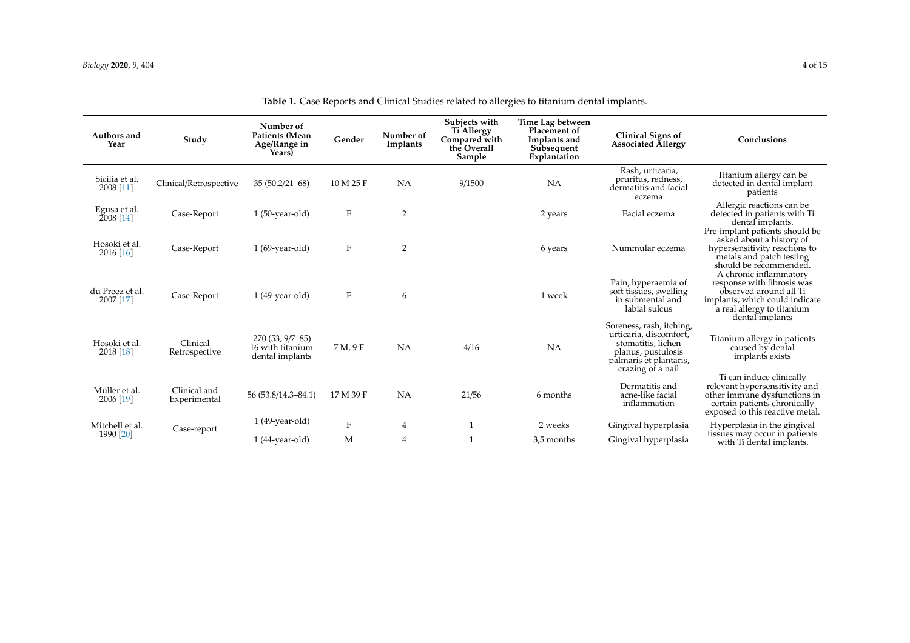<span id="page-3-0"></span>

| Authors and<br>Year          | Study                        | Number of<br>Patients (Mean<br>Age/Range in<br>Years)      | Gender                    | Number of<br>Implants | Subjects with<br><b>Ti Allergy</b><br>Compared with<br>the Overall<br>Sample | Time Lag between<br>Placement of<br>Implants and<br>Subsequent<br>Explantation | Clinical Signs of<br><b>Associated Allergy</b>                                                                                                | Conclusions                                                                                                                                                       |
|------------------------------|------------------------------|------------------------------------------------------------|---------------------------|-----------------------|------------------------------------------------------------------------------|--------------------------------------------------------------------------------|-----------------------------------------------------------------------------------------------------------------------------------------------|-------------------------------------------------------------------------------------------------------------------------------------------------------------------|
| Sicilia et al.<br>2008 [11]  | Clinical/Retrospective       | $35(50.2/21 - 68)$                                         | 10 M 25 F                 | <b>NA</b>             | 9/1500                                                                       | <b>NA</b>                                                                      | Rash, urticaria,<br>pruritus, redness,<br>dermatitis and facial<br>eczema                                                                     | Titanium allergy can be<br>detected in dental implant<br>patients                                                                                                 |
| Egusa et al.<br>$2008$ [14]  | Case-Report                  | $1(50-year-old)$                                           | $\boldsymbol{\mathrm{F}}$ | $\overline{2}$        |                                                                              | 2 years                                                                        | Facial eczema                                                                                                                                 | Allergic reactions can be<br>detected in patients with Ti<br>dental implants.                                                                                     |
| Hosoki et al.<br>2016 [16]   | Case-Report                  | $1(69$ -year-old)                                          | $\mathbf F$               | $\overline{2}$        |                                                                              | 6 years                                                                        | Nummular eczema                                                                                                                               | Pre-implant patients should be<br>asked about a history of<br>hypersensitivity reactions to<br>metals and patch testing<br>should be recommended.                 |
| du Preez et al.<br>2007 [17] | Case-Report                  | $1(49-year-old)$                                           | $\mathbf{F}$              | 6                     |                                                                              | 1 week                                                                         | Pain, hyperaemia of<br>soft tissues, swelling<br>in submental and<br>labial sulcus                                                            | A chronic inflammatory<br>response with fibrosis was<br>observed around all Ti<br>implants, which could indicate<br>a real allergy to titanium<br>dental implants |
| Hosoki et al.<br>2018 [18]   | Clinical<br>Retrospective    | $270(53, 9/7 - 85)$<br>16 with titanium<br>dental implants | 7 M, 9 F                  | NA                    | 4/16                                                                         | <b>NA</b>                                                                      | Soreness, rash, itching,<br>urticaria, discomfort,<br>stomatitis, lichen<br>planus, pustulosis<br>palmaris et plantaris,<br>crazing of a nail | Titanium allergy in patients<br>caused by dental<br>implants exists                                                                                               |
| Müller et al.<br>2006 [19]   | Clinical and<br>Experimental | 56 (53.8/14.3-84.1)                                        | 17 M 39 F                 | <b>NA</b>             | 21/56                                                                        | 6 months                                                                       | Dermatitis and<br>acne-like facial<br>inflammation                                                                                            | Ti can induce clinically<br>relevant hypersensitivity and<br>other immune dysfunctions in<br>certain patients chronically<br>exposed to this reactive metal.      |
| Mitchell et al.<br>1990 [20] | Case-report                  | $1(49-year-old)$                                           | $\boldsymbol{\mathrm{F}}$ | 4                     |                                                                              | 2 weeks                                                                        | Gingival hyperplasia                                                                                                                          | Hyperplasia in the gingival                                                                                                                                       |
|                              |                              |                                                            | $1(44$ -year-old)         | M                     | 4                                                                            |                                                                                | 3,5 months                                                                                                                                    | Gingival hyperplasia                                                                                                                                              |

**Table 1.** Case Reports and Clinical Studies related to allergies to titanium dental implants.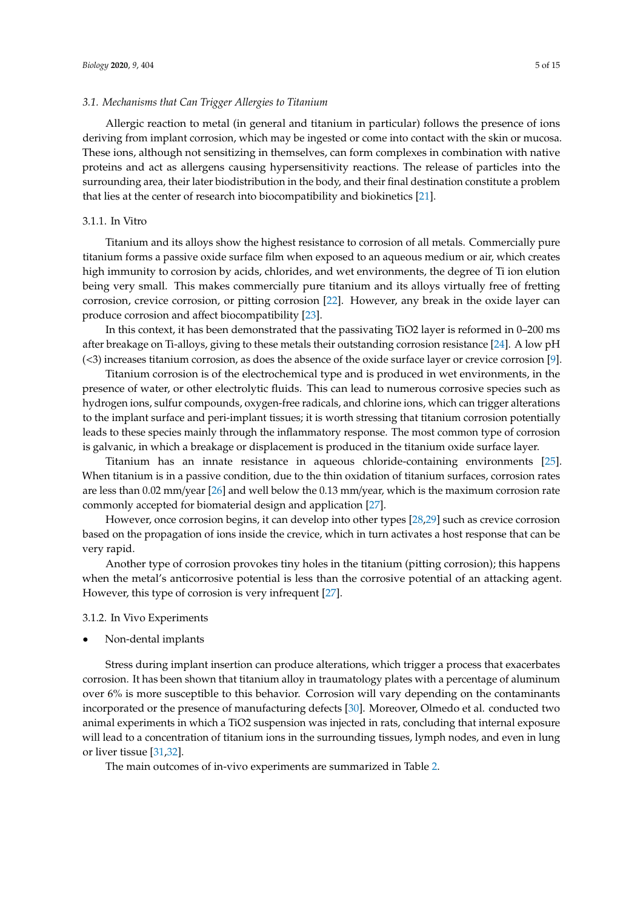#### *3.1. Mechanisms that Can Trigger Allergies to Titanium*

Allergic reaction to metal (in general and titanium in particular) follows the presence of ions deriving from implant corrosion, which may be ingested or come into contact with the skin or mucosa. These ions, although not sensitizing in themselves, can form complexes in combination with native proteins and act as allergens causing hypersensitivity reactions. The release of particles into the surrounding area, their later biodistribution in the body, and their final destination constitute a problem that lies at the center of research into biocompatibility and biokinetics [\[21\]](#page-12-9).

## 3.1.1. In Vitro

Titanium and its alloys show the highest resistance to corrosion of all metals. Commercially pure titanium forms a passive oxide surface film when exposed to an aqueous medium or air, which creates high immunity to corrosion by acids, chlorides, and wet environments, the degree of Ti ion elution being very small. This makes commercially pure titanium and its alloys virtually free of fretting corrosion, crevice corrosion, or pitting corrosion [\[22\]](#page-12-10). However, any break in the oxide layer can produce corrosion and affect biocompatibility [\[23\]](#page-12-11).

In this context, it has been demonstrated that the passivating TiO2 layer is reformed in 0–200 ms after breakage on Ti-alloys, giving to these metals their outstanding corrosion resistance [\[24\]](#page-12-12). A low pH (<3) increases titanium corrosion, as does the absence of the oxide surface layer or crevice corrosion [\[9\]](#page-11-8).

Titanium corrosion is of the electrochemical type and is produced in wet environments, in the presence of water, or other electrolytic fluids. This can lead to numerous corrosive species such as hydrogen ions, sulfur compounds, oxygen-free radicals, and chlorine ions, which can trigger alterations to the implant surface and peri-implant tissues; it is worth stressing that titanium corrosion potentially leads to these species mainly through the inflammatory response. The most common type of corrosion is galvanic, in which a breakage or displacement is produced in the titanium oxide surface layer.

Titanium has an innate resistance in aqueous chloride-containing environments [\[25\]](#page-12-13). When titanium is in a passive condition, due to the thin oxidation of titanium surfaces, corrosion rates are less than 0.02 mm/year [\[26\]](#page-12-14) and well below the 0.13 mm/year, which is the maximum corrosion rate commonly accepted for biomaterial design and application [\[27\]](#page-12-15).

However, once corrosion begins, it can develop into other types [\[28](#page-12-16)[,29\]](#page-12-17) such as crevice corrosion based on the propagation of ions inside the crevice, which in turn activates a host response that can be very rapid.

Another type of corrosion provokes tiny holes in the titanium (pitting corrosion); this happens when the metal's anticorrosive potential is less than the corrosive potential of an attacking agent. However, this type of corrosion is very infrequent [\[27\]](#page-12-15).

#### 3.1.2. In Vivo Experiments

• Non-dental implants

Stress during implant insertion can produce alterations, which trigger a process that exacerbates corrosion. It has been shown that titanium alloy in traumatology plates with a percentage of aluminum over 6% is more susceptible to this behavior. Corrosion will vary depending on the contaminants incorporated or the presence of manufacturing defects [\[30\]](#page-12-18). Moreover, Olmedo et al. conducted two animal experiments in which a TiO2 suspension was injected in rats, concluding that internal exposure will lead to a concentration of titanium ions in the surrounding tissues, lymph nodes, and even in lung or liver tissue [\[31,](#page-12-19)[32\]](#page-12-20).

The main outcomes of in-vivo experiments are summarized in Table [2.](#page-5-0)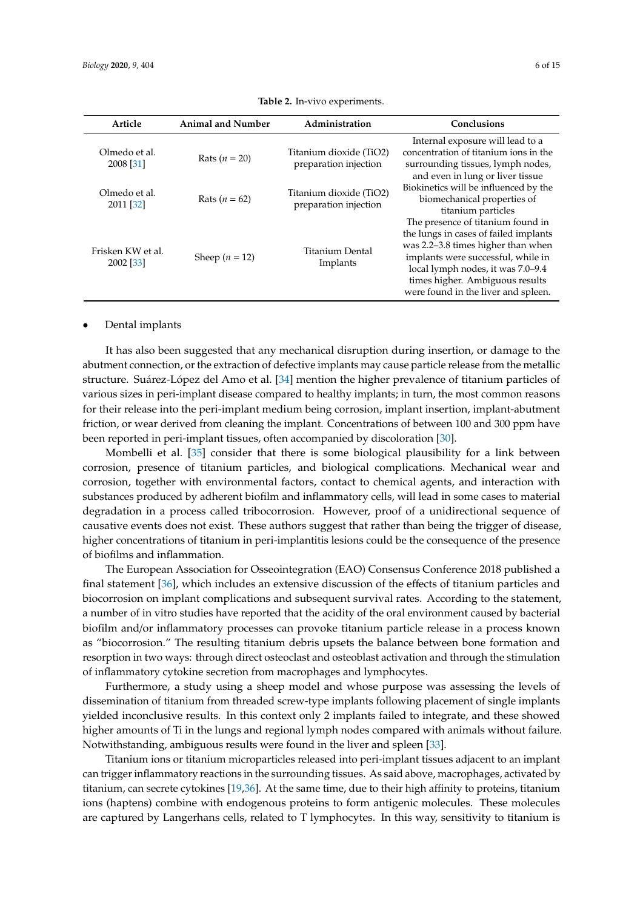<span id="page-5-0"></span>

| Article                        | <b>Animal and Number</b> | Administration                                   | Conclusions                                                                                                                                                                                                                                                           |  |
|--------------------------------|--------------------------|--------------------------------------------------|-----------------------------------------------------------------------------------------------------------------------------------------------------------------------------------------------------------------------------------------------------------------------|--|
| Olmedo et al.<br>2008 [31]     | Rats $(n = 20)$          | Titanium dioxide (TiO2)<br>preparation injection | Internal exposure will lead to a<br>concentration of titanium ions in the<br>surrounding tissues, lymph nodes,<br>and even in lung or liver tissue                                                                                                                    |  |
| Olmedo et al.<br>2011 [32]     | Rats $(n = 62)$          | Titanium dioxide (TiO2)<br>preparation injection | Biokinetics will be influenced by the<br>biomechanical properties of<br>titanium particles                                                                                                                                                                            |  |
| Frisken KW et al.<br>2002 [33] | Sheep $(n = 12)$         | Titanium Dental<br>Implants                      | The presence of titanium found in<br>the lungs in cases of failed implants<br>was 2.2-3.8 times higher than when<br>implants were successful, while in<br>local lymph nodes, it was 7.0-9.4<br>times higher. Ambiguous results<br>were found in the liver and spleen. |  |

|  | Table 2. In-vivo experiments. |
|--|-------------------------------|
|  |                               |

# • Dental implants

It has also been suggested that any mechanical disruption during insertion, or damage to the abutment connection, or the extraction of defective implants may cause particle release from the metallic structure. Suárez-López del Amo et al. [\[34\]](#page-12-22) mention the higher prevalence of titanium particles of various sizes in peri-implant disease compared to healthy implants; in turn, the most common reasons for their release into the peri-implant medium being corrosion, implant insertion, implant-abutment friction, or wear derived from cleaning the implant. Concentrations of between 100 and 300 ppm have been reported in peri-implant tissues, often accompanied by discoloration [\[30\]](#page-12-18).

Mombelli et al. [\[35\]](#page-12-23) consider that there is some biological plausibility for a link between corrosion, presence of titanium particles, and biological complications. Mechanical wear and corrosion, together with environmental factors, contact to chemical agents, and interaction with substances produced by adherent biofilm and inflammatory cells, will lead in some cases to material degradation in a process called tribocorrosion. However, proof of a unidirectional sequence of causative events does not exist. These authors suggest that rather than being the trigger of disease, higher concentrations of titanium in peri-implantitis lesions could be the consequence of the presence of biofilms and inflammation.

The European Association for Osseointegration (EAO) Consensus Conference 2018 published a final statement [\[36\]](#page-12-24), which includes an extensive discussion of the effects of titanium particles and biocorrosion on implant complications and subsequent survival rates. According to the statement, a number of in vitro studies have reported that the acidity of the oral environment caused by bacterial biofilm and/or inflammatory processes can provoke titanium particle release in a process known as "biocorrosion." The resulting titanium debris upsets the balance between bone formation and resorption in two ways: through direct osteoclast and osteoblast activation and through the stimulation of inflammatory cytokine secretion from macrophages and lymphocytes.

Furthermore, a study using a sheep model and whose purpose was assessing the levels of dissemination of titanium from threaded screw-type implants following placement of single implants yielded inconclusive results. In this context only 2 implants failed to integrate, and these showed higher amounts of Ti in the lungs and regional lymph nodes compared with animals without failure. Notwithstanding, ambiguous results were found in the liver and spleen [\[33\]](#page-12-21).

Titanium ions or titanium microparticles released into peri-implant tissues adjacent to an implant can trigger inflammatory reactions in the surrounding tissues. As said above, macrophages, activated by titanium, can secrete cytokines [\[19](#page-12-25)[,36\]](#page-12-24). At the same time, due to their high affinity to proteins, titanium ions (haptens) combine with endogenous proteins to form antigenic molecules. These molecules are captured by Langerhans cells, related to T lymphocytes. In this way, sensitivity to titanium is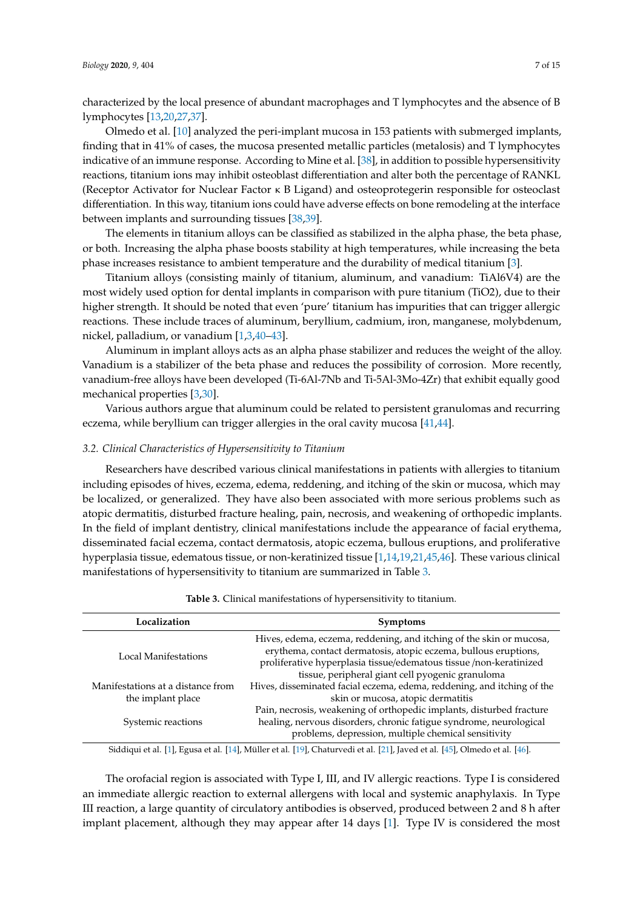characterized by the local presence of abundant macrophages and T lymphocytes and the absence of B lymphocytes [\[13](#page-12-0)[,20](#page-12-26)[,27](#page-12-15)[,37\]](#page-13-0).

Olmedo et al. [\[10\]](#page-11-9) analyzed the peri-implant mucosa in 153 patients with submerged implants, finding that in 41% of cases, the mucosa presented metallic particles (metalosis) and T lymphocytes indicative of an immune response. According to Mine et al. [\[38\]](#page-13-1), in addition to possible hypersensitivity reactions, titanium ions may inhibit osteoblast differentiation and alter both the percentage of RANKL (Receptor Activator for Nuclear Factor κ B Ligand) and osteoprotegerin responsible for osteoclast differentiation. In this way, titanium ions could have adverse effects on bone remodeling at the interface between implants and surrounding tissues [\[38,](#page-13-1)[39\]](#page-13-2).

The elements in titanium alloys can be classified as stabilized in the alpha phase, the beta phase, or both. Increasing the alpha phase boosts stability at high temperatures, while increasing the beta phase increases resistance to ambient temperature and the durability of medical titanium [\[3\]](#page-11-1).

Titanium alloys (consisting mainly of titanium, aluminum, and vanadium: TiAl6V4) are the most widely used option for dental implants in comparison with pure titanium (TiO2), due to their higher strength. It should be noted that even 'pure' titanium has impurities that can trigger allergic reactions. These include traces of aluminum, beryllium, cadmium, iron, manganese, molybdenum, nickel, palladium, or vanadium [\[1,](#page-11-0)[3,](#page-11-1)[40](#page-13-3)[–43\]](#page-13-4).

Aluminum in implant alloys acts as an alpha phase stabilizer and reduces the weight of the alloy. Vanadium is a stabilizer of the beta phase and reduces the possibility of corrosion. More recently, vanadium-free alloys have been developed (Ti-6Al-7Nb and Ti-5Al-3Mo-4Zr) that exhibit equally good mechanical properties [\[3,](#page-11-1)[30\]](#page-12-18).

Various authors argue that aluminum could be related to persistent granulomas and recurring eczema, while beryllium can trigger allergies in the oral cavity mucosa [\[41,](#page-13-5)[44\]](#page-13-6).

#### *3.2. Clinical Characteristics of Hypersensitivity to Titanium*

Researchers have described various clinical manifestations in patients with allergies to titanium including episodes of hives, eczema, edema, reddening, and itching of the skin or mucosa, which may be localized, or generalized. They have also been associated with more serious problems such as atopic dermatitis, disturbed fracture healing, pain, necrosis, and weakening of orthopedic implants. In the field of implant dentistry, clinical manifestations include the appearance of facial erythema, disseminated facial eczema, contact dermatosis, atopic eczema, bullous eruptions, and proliferative hyperplasia tissue, edematous tissue, or non-keratinized tissue [\[1](#page-11-0)[,14,](#page-12-1)[19,](#page-12-25)[21,](#page-12-9)[45](#page-13-7)[,46\]](#page-13-8). These various clinical manifestations of hypersensitivity to titanium are summarized in Table [3.](#page-6-0)

<span id="page-6-0"></span>

| Localization                                                                                                   | <b>Symptoms</b>                                                                                                                                                                                                                                                                                                                                                                 |  |  |  |
|----------------------------------------------------------------------------------------------------------------|---------------------------------------------------------------------------------------------------------------------------------------------------------------------------------------------------------------------------------------------------------------------------------------------------------------------------------------------------------------------------------|--|--|--|
| Local Manifestations                                                                                           | Hives, edema, eczema, reddening, and itching of the skin or mucosa,<br>erythema, contact dermatosis, atopic eczema, bullous eruptions,<br>proliferative hyperplasia tissue/edematous tissue/non-keratinized<br>tissue, peripheral giant cell pyogenic granuloma<br>Hives, disseminated facial eczema, edema, reddening, and itching of the<br>skin or mucosa, atopic dermatitis |  |  |  |
| Manifestations at a distance from<br>the implant place                                                         |                                                                                                                                                                                                                                                                                                                                                                                 |  |  |  |
| Systemic reactions                                                                                             | Pain, necrosis, weakening of orthopedic implants, disturbed fracture<br>healing, nervous disorders, chronic fatigue syndrome, neurological<br>problems, depression, multiple chemical sensitivity                                                                                                                                                                               |  |  |  |
| the figures of the contract of the contract of the contract of the contract of the contract of the contract of |                                                                                                                                                                                                                                                                                                                                                                                 |  |  |  |

**Table 3.** Clinical manifestations of hypersensitivity to titanium.

Siddiqui et al. [\[1\]](#page-11-0), Egusa et al. [\[14\]](#page-12-1), Müller et al. [\[19\]](#page-12-25), Chaturvedi et al. [\[21\]](#page-12-9), Javed et al. [\[45\]](#page-13-7), Olmedo et al. [\[46\]](#page-13-8).

The orofacial region is associated with Type I, III, and IV allergic reactions. Type I is considered an immediate allergic reaction to external allergens with local and systemic anaphylaxis. In Type III reaction, a large quantity of circulatory antibodies is observed, produced between 2 and 8 h after implant placement, although they may appear after 14 days [\[1\]](#page-11-0). Type IV is considered the most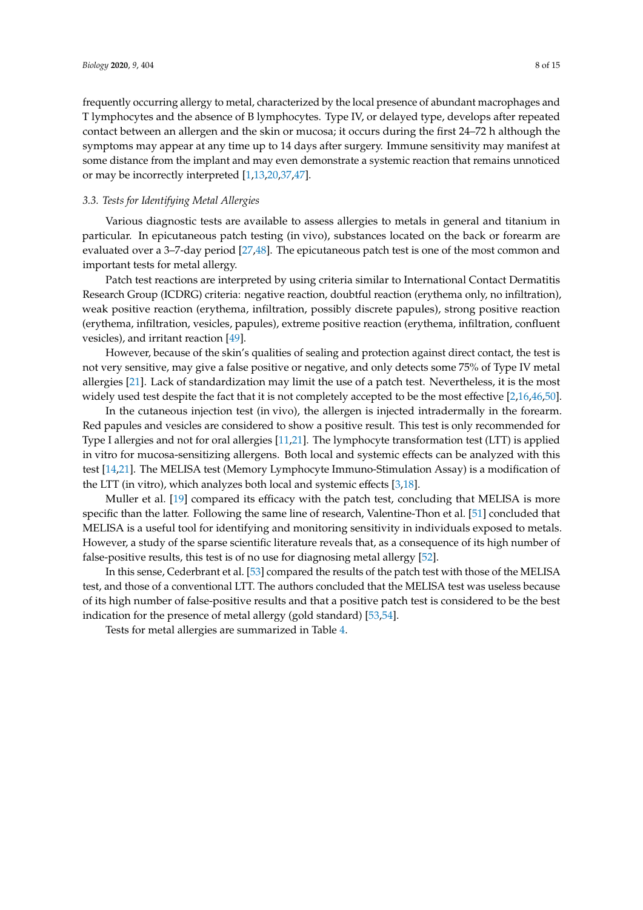frequently occurring allergy to metal, characterized by the local presence of abundant macrophages and T lymphocytes and the absence of B lymphocytes. Type IV, or delayed type, develops after repeated contact between an allergen and the skin or mucosa; it occurs during the first 24–72 h although the symptoms may appear at any time up to 14 days after surgery. Immune sensitivity may manifest at some distance from the implant and may even demonstrate a systemic reaction that remains unnoticed or may be incorrectly interpreted [\[1,](#page-11-0)[13,](#page-12-0)[20,](#page-12-26)[37,](#page-13-0)[47\]](#page-13-9).

# *3.3. Tests for Identifying Metal Allergies*

Various diagnostic tests are available to assess allergies to metals in general and titanium in particular. In epicutaneous patch testing (in vivo), substances located on the back or forearm are evaluated over a 3–7-day period [\[27,](#page-12-15)[48\]](#page-13-10). The epicutaneous patch test is one of the most common and important tests for metal allergy.

Patch test reactions are interpreted by using criteria similar to International Contact Dermatitis Research Group (ICDRG) criteria: negative reaction, doubtful reaction (erythema only, no infiltration), weak positive reaction (erythema, infiltration, possibly discrete papules), strong positive reaction (erythema, infiltration, vesicles, papules), extreme positive reaction (erythema, infiltration, confluent vesicles), and irritant reaction [\[49\]](#page-13-11).

However, because of the skin's qualities of sealing and protection against direct contact, the test is not very sensitive, may give a false positive or negative, and only detects some 75% of Type IV metal allergies [\[21\]](#page-12-9). Lack of standardization may limit the use of a patch test. Nevertheless, it is the most widely used test despite the fact that it is not completely accepted to be the most effective [\[2](#page-11-10)[,16](#page-12-27)[,46](#page-13-8)[,50\]](#page-13-12).

In the cutaneous injection test (in vivo), the allergen is injected intradermally in the forearm. Red papules and vesicles are considered to show a positive result. This test is only recommended for Type I allergies and not for oral allergies [\[11](#page-11-6)[,21\]](#page-12-9). The lymphocyte transformation test (LTT) is applied in vitro for mucosa-sensitizing allergens. Both local and systemic effects can be analyzed with this test [\[14,](#page-12-1)[21\]](#page-12-9). The MELISA test (Memory Lymphocyte Immuno-Stimulation Assay) is a modification of the LTT (in vitro), which analyzes both local and systemic effects [\[3](#page-11-1)[,18\]](#page-12-28).

Muller et al. [\[19\]](#page-12-25) compared its efficacy with the patch test, concluding that MELISA is more specific than the latter. Following the same line of research, Valentine-Thon et al. [\[51\]](#page-13-13) concluded that MELISA is a useful tool for identifying and monitoring sensitivity in individuals exposed to metals. However, a study of the sparse scientific literature reveals that, as a consequence of its high number of false-positive results, this test is of no use for diagnosing metal allergy [\[52\]](#page-13-14).

In this sense, Cederbrant et al. [\[53\]](#page-13-15) compared the results of the patch test with those of the MELISA test, and those of a conventional LTT. The authors concluded that the MELISA test was useless because of its high number of false-positive results and that a positive patch test is considered to be the best indication for the presence of metal allergy (gold standard) [\[53](#page-13-15)[,54\]](#page-13-16).

Tests for metal allergies are summarized in Table [4.](#page-8-0)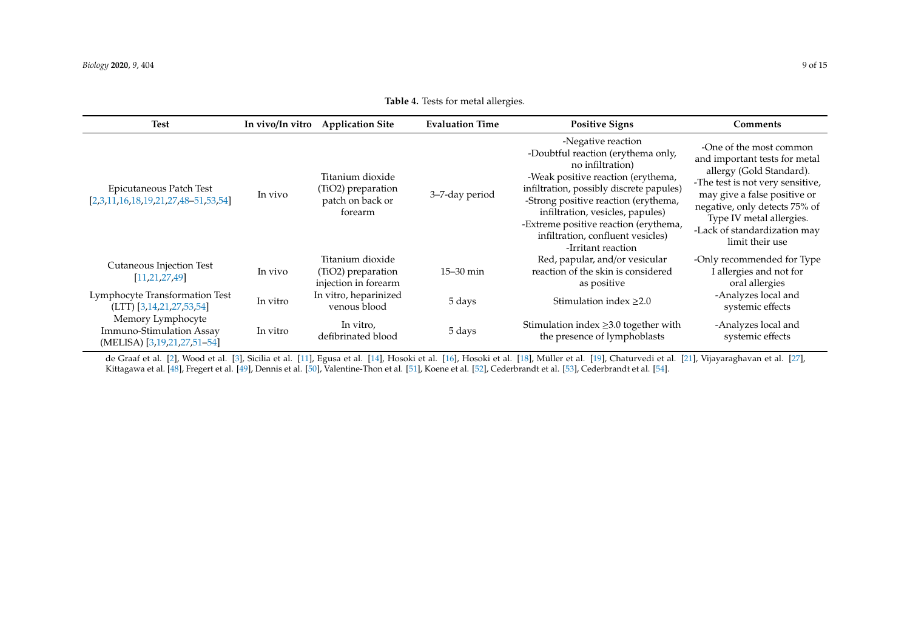(MELISA) [\[3](#page-11-12)[,19,](#page-12-7)[21](#page-12-29)[,27](#page-12-30)[,51](#page-13-18)[–54\]](#page-13-20)

| <b>Test</b>                                                                                                | In vivo/In vitro | <b>Application Site</b>                                               | <b>Evaluation Time</b> | <b>Positive Signs</b>                                                                                                                                                                                                                                                                                                                          | <b>Comments</b>                                                                                                                                                                                                                                                          |
|------------------------------------------------------------------------------------------------------------|------------------|-----------------------------------------------------------------------|------------------------|------------------------------------------------------------------------------------------------------------------------------------------------------------------------------------------------------------------------------------------------------------------------------------------------------------------------------------------------|--------------------------------------------------------------------------------------------------------------------------------------------------------------------------------------------------------------------------------------------------------------------------|
| Epicutaneous Patch Test<br>$[2,3,11,16,18,19,21,27,48-51,53,54]$                                           | In vivo          | Titanium dioxide<br>(TiO2) preparation<br>patch on back or<br>forearm | 3-7-day period         | -Negative reaction<br>-Doubtful reaction (erythema only,<br>no infiltration)<br>-Weak positive reaction (erythema,<br>infiltration, possibly discrete papules)<br>-Strong positive reaction (erythema,<br>infiltration, vesicles, papules)<br>-Extreme positive reaction (erythema,<br>infiltration, confluent vesicles)<br>-Irritant reaction | -One of the most common<br>and important tests for metal<br>allergy (Gold Standard).<br>-The test is not very sensitive,<br>may give a false positive or<br>negative, only detects 75% of<br>Type IV metal allergies.<br>-Lack of standardization may<br>limit their use |
| Cutaneous Injection Test<br>[11, 21, 27, 49]                                                               | In vivo          | Titanium dioxide<br>(TiO2) preparation<br>injection in forearm        | $15 - 30$ min          | Red, papular, and/or vesicular<br>reaction of the skin is considered<br>as positive                                                                                                                                                                                                                                                            | -Only recommended for Type<br>I allergies and not for<br>oral allergies                                                                                                                                                                                                  |
| Lymphocyte Transformation Test<br>$(LTT)$ [3,14,21,27,53,54]                                               | In vitro         | In vitro, heparinized<br>venous blood                                 | 5 days                 | Stimulation index $\geq 2.0$                                                                                                                                                                                                                                                                                                                   | -Analyzes local and<br>systemic effects                                                                                                                                                                                                                                  |
| Memory Lymphocyte<br>Immuno-Stimulation Assay<br>$\Lambda$ Terms to $\Lambda$ in $\Omega$ 10.01.07 E1. E41 | In vitro         | In vitro,<br>defibrinated blood                                       | 5 days                 | Stimulation index $\geq$ 3.0 together with<br>the presence of lymphoblasts                                                                                                                                                                                                                                                                     | -Analyzes local and<br>systemic effects                                                                                                                                                                                                                                  |

**Table 4.** Tests for metal allergies.

<span id="page-8-0"></span>de Graaf et al. [\[2\]](#page-11-11), Wood et al. [\[3\]](#page-11-12), Sicilia et al. [\[11\]](#page-11-2), Egusa et al. [\[14\]](#page-12-3), Hosoki et al. [\[16\]](#page-12-4), Hosoki et al. [\[18\]](#page-12-6), Müller et al. [\[19\]](#page-12-7), Chaturvedi et al. [\[21\]](#page-12-29), Vijayaraghavan et al. [\[27\]](#page-12-30), Kittagawa et al. [\[48\]](#page-13-17), Fregert et al. [\[49\]](#page-13-3), Dennis et al. [\[50\]](#page-13-5), Valentine-Thon et al. [\[51\]](#page-13-18), Koene et al. [\[52\]](#page-13-21), Cederbrandt et al. [\[53\]](#page-13-19), Cederbrandt et al. [\[54\]](#page-13-20).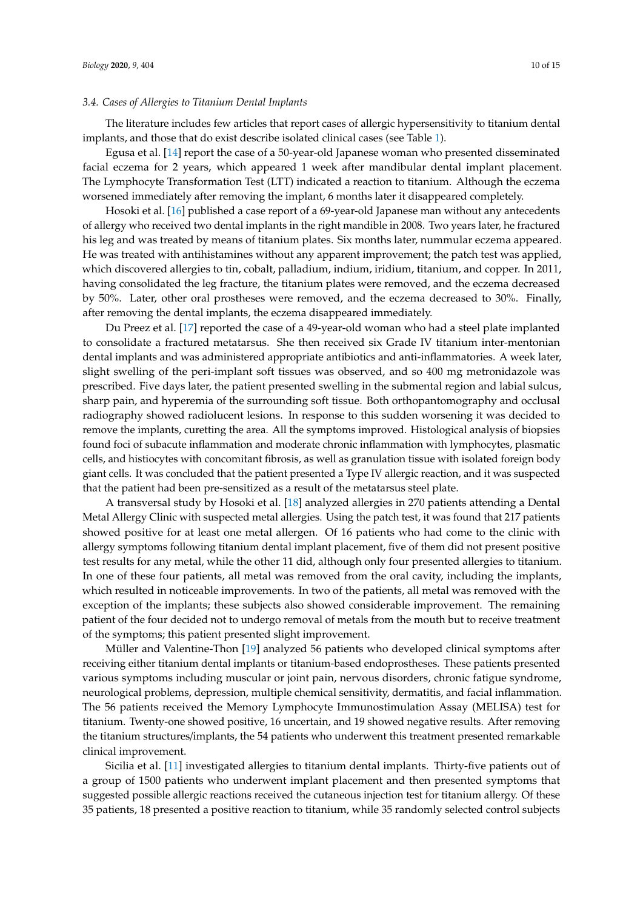## *3.4. Cases of Allergies to Titanium Dental Implants*

The literature includes few articles that report cases of allergic hypersensitivity to titanium dental implants, and those that do exist describe isolated clinical cases (see Table [1\)](#page-3-0).

Egusa et al. [\[14\]](#page-12-1) report the case of a 50-year-old Japanese woman who presented disseminated facial eczema for 2 years, which appeared 1 week after mandibular dental implant placement. The Lymphocyte Transformation Test (LTT) indicated a reaction to titanium. Although the eczema worsened immediately after removing the implant, 6 months later it disappeared completely.

Hosoki et al. [\[16\]](#page-12-27) published a case report of a 69-year-old Japanese man without any antecedents of allergy who received two dental implants in the right mandible in 2008. Two years later, he fractured his leg and was treated by means of titanium plates. Six months later, nummular eczema appeared. He was treated with antihistamines without any apparent improvement; the patch test was applied, which discovered allergies to tin, cobalt, palladium, indium, iridium, titanium, and copper. In 2011, having consolidated the leg fracture, the titanium plates were removed, and the eczema decreased by 50%. Later, other oral prostheses were removed, and the eczema decreased to 30%. Finally, after removing the dental implants, the eczema disappeared immediately.

Du Preez et al. [\[17\]](#page-12-31) reported the case of a 49-year-old woman who had a steel plate implanted to consolidate a fractured metatarsus. She then received six Grade IV titanium inter-mentonian dental implants and was administered appropriate antibiotics and anti-inflammatories. A week later, slight swelling of the peri-implant soft tissues was observed, and so 400 mg metronidazole was prescribed. Five days later, the patient presented swelling in the submental region and labial sulcus, sharp pain, and hyperemia of the surrounding soft tissue. Both orthopantomography and occlusal radiography showed radiolucent lesions. In response to this sudden worsening it was decided to remove the implants, curetting the area. All the symptoms improved. Histological analysis of biopsies found foci of subacute inflammation and moderate chronic inflammation with lymphocytes, plasmatic cells, and histiocytes with concomitant fibrosis, as well as granulation tissue with isolated foreign body giant cells. It was concluded that the patient presented a Type IV allergic reaction, and it was suspected that the patient had been pre-sensitized as a result of the metatarsus steel plate.

A transversal study by Hosoki et al. [\[18\]](#page-12-28) analyzed allergies in 270 patients attending a Dental Metal Allergy Clinic with suspected metal allergies. Using the patch test, it was found that 217 patients showed positive for at least one metal allergen. Of 16 patients who had come to the clinic with allergy symptoms following titanium dental implant placement, five of them did not present positive test results for any metal, while the other 11 did, although only four presented allergies to titanium. In one of these four patients, all metal was removed from the oral cavity, including the implants, which resulted in noticeable improvements. In two of the patients, all metal was removed with the exception of the implants; these subjects also showed considerable improvement. The remaining patient of the four decided not to undergo removal of metals from the mouth but to receive treatment of the symptoms; this patient presented slight improvement.

Müller and Valentine-Thon [\[19\]](#page-12-25) analyzed 56 patients who developed clinical symptoms after receiving either titanium dental implants or titanium-based endoprostheses. These patients presented various symptoms including muscular or joint pain, nervous disorders, chronic fatigue syndrome, neurological problems, depression, multiple chemical sensitivity, dermatitis, and facial inflammation. The 56 patients received the Memory Lymphocyte Immunostimulation Assay (MELISA) test for titanium. Twenty-one showed positive, 16 uncertain, and 19 showed negative results. After removing the titanium structures/implants, the 54 patients who underwent this treatment presented remarkable clinical improvement.

Sicilia et al. [\[11\]](#page-11-6) investigated allergies to titanium dental implants. Thirty-five patients out of a group of 1500 patients who underwent implant placement and then presented symptoms that suggested possible allergic reactions received the cutaneous injection test for titanium allergy. Of these 35 patients, 18 presented a positive reaction to titanium, while 35 randomly selected control subjects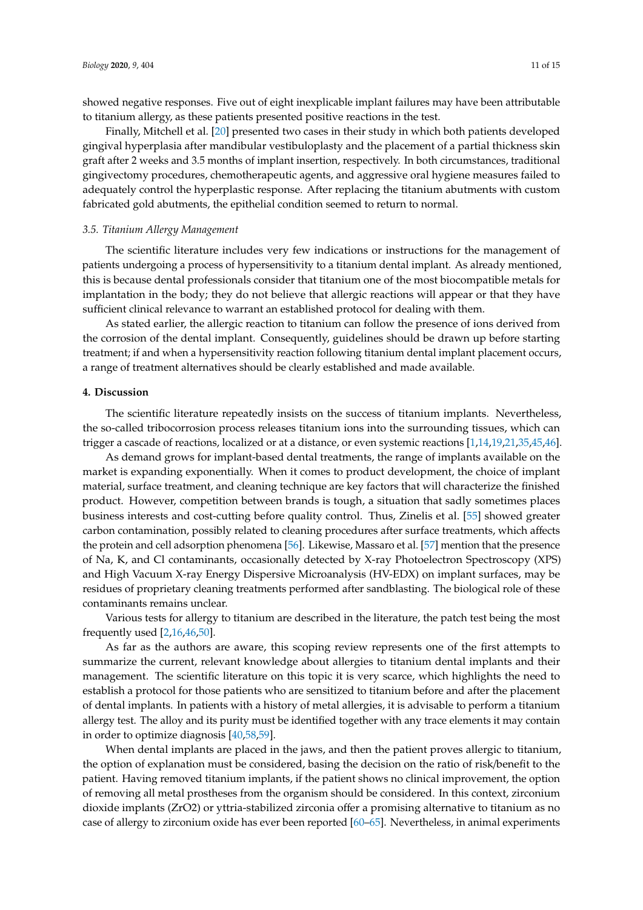showed negative responses. Five out of eight inexplicable implant failures may have been attributable to titanium allergy, as these patients presented positive reactions in the test.

Finally, Mitchell et al. [\[20\]](#page-12-26) presented two cases in their study in which both patients developed gingival hyperplasia after mandibular vestibuloplasty and the placement of a partial thickness skin graft after 2 weeks and 3.5 months of implant insertion, respectively. In both circumstances, traditional gingivectomy procedures, chemotherapeutic agents, and aggressive oral hygiene measures failed to adequately control the hyperplastic response. After replacing the titanium abutments with custom fabricated gold abutments, the epithelial condition seemed to return to normal.

## *3.5. Titanium Allergy Management*

The scientific literature includes very few indications or instructions for the management of patients undergoing a process of hypersensitivity to a titanium dental implant. As already mentioned, this is because dental professionals consider that titanium one of the most biocompatible metals for implantation in the body; they do not believe that allergic reactions will appear or that they have sufficient clinical relevance to warrant an established protocol for dealing with them.

As stated earlier, the allergic reaction to titanium can follow the presence of ions derived from the corrosion of the dental implant. Consequently, guidelines should be drawn up before starting treatment; if and when a hypersensitivity reaction following titanium dental implant placement occurs, a range of treatment alternatives should be clearly established and made available.

#### **4. Discussion**

The scientific literature repeatedly insists on the success of titanium implants. Nevertheless, the so-called tribocorrosion process releases titanium ions into the surrounding tissues, which can trigger a cascade of reactions, localized or at a distance, or even systemic reactions [\[1](#page-11-0)[,14,](#page-12-1)[19,](#page-12-25)[21,](#page-12-9)[35](#page-12-23)[,45](#page-13-7)[,46\]](#page-13-8).

As demand grows for implant-based dental treatments, the range of implants available on the market is expanding exponentially. When it comes to product development, the choice of implant material, surface treatment, and cleaning technique are key factors that will characterize the finished product. However, competition between brands is tough, a situation that sadly sometimes places business interests and cost-cutting before quality control. Thus, Zinelis et al. [\[55\]](#page-13-22) showed greater carbon contamination, possibly related to cleaning procedures after surface treatments, which affects the protein and cell adsorption phenomena [\[56\]](#page-13-23). Likewise, Massaro et al. [\[57\]](#page-13-24) mention that the presence of Na, K, and Cl contaminants, occasionally detected by X-ray Photoelectron Spectroscopy (XPS) and High Vacuum X-ray Energy Dispersive Microanalysis (HV-EDX) on implant surfaces, may be residues of proprietary cleaning treatments performed after sandblasting. The biological role of these contaminants remains unclear.

Various tests for allergy to titanium are described in the literature, the patch test being the most frequently used [\[2,](#page-11-10)[16,](#page-12-27)[46](#page-13-8)[,50\]](#page-13-12).

As far as the authors are aware, this scoping review represents one of the first attempts to summarize the current, relevant knowledge about allergies to titanium dental implants and their management. The scientific literature on this topic it is very scarce, which highlights the need to establish a protocol for those patients who are sensitized to titanium before and after the placement of dental implants. In patients with a history of metal allergies, it is advisable to perform a titanium allergy test. The alloy and its purity must be identified together with any trace elements it may contain in order to optimize diagnosis [\[40](#page-13-3)[,58,](#page-13-25)[59\]](#page-13-26).

When dental implants are placed in the jaws, and then the patient proves allergic to titanium, the option of explanation must be considered, basing the decision on the ratio of risk/benefit to the patient. Having removed titanium implants, if the patient shows no clinical improvement, the option of removing all metal prostheses from the organism should be considered. In this context, zirconium dioxide implants (ZrO2) or yttria-stabilized zirconia offer a promising alternative to titanium as no case of allergy to zirconium oxide has ever been reported [\[60](#page-13-27)[–65\]](#page-14-0). Nevertheless, in animal experiments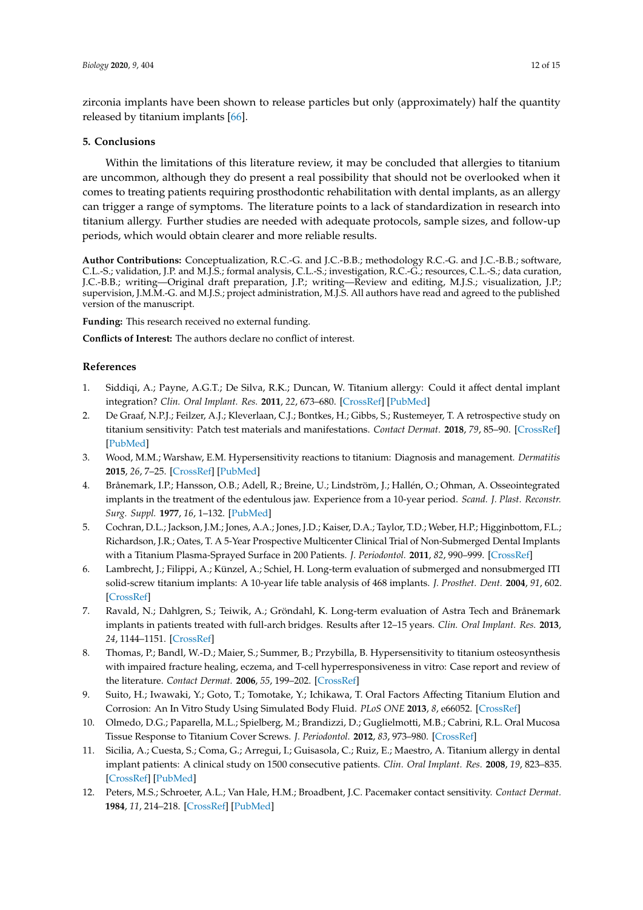zirconia implants have been shown to release particles but only (approximately) half the quantity released by titanium implants [\[66\]](#page-14-1).

# <span id="page-11-11"></span>**5. Conclusions**

<span id="page-11-12"></span>Within the limitations of this literature review, it may be concluded that allergies to titanium are uncommon, although they do present a real possibility that should not be overlooked when it comes to treating patients requiring prosthodontic rehabilitation with dental implants, as an allergy can trigger a range of symptoms. The literature points to a lack of standardization in research into titanium allergy. Further studies are needed with adequate protocols, sample sizes, and follow-up periods, which would obtain clearer and more reliable results.

**Author Contributions:** Conceptualization, R.C.-G. and J.C.-B.B.; methodology R.C.-G. and J.C.-B.B.; software, C.L.-S.; validation, J.P. and M.J.S.; formal analysis, C.L.-S.; investigation, R.C.-G.; resources, C.L.-S.; data curation, J.C.-B.B.; writing—Original draft preparation, J.P.; writing—Review and editing, M.J.S.; visualization, J.P.; supervision, J.M.M.-G. and M.J.S.; project administration, M.J.S. All authors have read and agreed to the published version of the manuscript.

**Funding:** This research received no external funding.

**Conflicts of Interest:** The authors declare no conflict of interest.

# **References**

- <span id="page-11-0"></span>1. Siddiqi, A.; Payne, A.G.T.; De Silva, R.K.; Duncan, W. Titanium allergy: Could it affect dental implant integration? *Clin. Oral Implant. Res.* **2011**, *22*, 673–680. [\[CrossRef\]](http://dx.doi.org/10.1111/j.1600-0501.2010.02081.x) [\[PubMed\]](http://www.ncbi.nlm.nih.gov/pubmed/21251079)
- <span id="page-11-10"></span>2. De Graaf, N.P.J.; Feilzer, A.J.; Kleverlaan, C.J.; Bontkes, H.; Gibbs, S.; Rustemeyer, T. A retrospective study on titanium sensitivity: Patch test materials and manifestations. *Contact Dermat.* **2018**, *79*, 85–90. [\[CrossRef\]](http://dx.doi.org/10.1111/cod.13010) [\[PubMed\]](http://www.ncbi.nlm.nih.gov/pubmed/29797739)
- <span id="page-11-1"></span>3. Wood, M.M.; Warshaw, E.M. Hypersensitivity reactions to titanium: Diagnosis and management. *Dermatitis* **2015**, *26*, 7–25. [\[CrossRef\]](http://dx.doi.org/10.1097/DER.0000000000000091) [\[PubMed\]](http://www.ncbi.nlm.nih.gov/pubmed/25581666)
- <span id="page-11-2"></span>4. Brånemark, I.P.; Hansson, O.B.; Adell, R.; Breine, U.; Lindström, J.; Hallén, O.; Ohman, A. Osseointegrated implants in the treatment of the edentulous jaw. Experience from a 10-year period. *Scand. J. Plast. Reconstr. Surg. Suppl.* **1977**, *16*, 1–132. [\[PubMed\]](http://www.ncbi.nlm.nih.gov/pubmed/356184)
- <span id="page-11-3"></span>5. Cochran, D.L.; Jackson, J.M.; Jones, A.A.; Jones, J.D.; Kaiser, D.A.; Taylor, T.D.; Weber, H.P.; Higginbottom, F.L.; Richardson, J.R.; Oates, T. A 5-Year Prospective Multicenter Clinical Trial of Non-Submerged Dental Implants with a Titanium Plasma-Sprayed Surface in 200 Patients. *J. Periodontol.* **2011**, *82*, 990–999. [\[CrossRef\]](http://dx.doi.org/10.1902/jop.2011.100464)
- 6. Lambrecht, J.; Filippi, A.; Künzel, A.; Schiel, H. Long-term evaluation of submerged and nonsubmerged ITI solid-screw titanium implants: A 10-year life table analysis of 468 implants. *J. Prosthet. Dent.* **2004**, *91*, 602. [\[CrossRef\]](http://dx.doi.org/10.1016/j.prosdent.2004.03.019)
- <span id="page-11-4"></span>7. Ravald, N.; Dahlgren, S.; Teiwik, A.; Gröndahl, K. Long-term evaluation of Astra Tech and Brånemark implants in patients treated with full-arch bridges. Results after 12–15 years. *Clin. Oral Implant. Res.* **2013**, *24*, 1144–1151. [\[CrossRef\]](http://dx.doi.org/10.1111/j.1600-0501.2012.02524.x)
- <span id="page-11-5"></span>8. Thomas, P.; Bandl, W.-D.; Maier, S.; Summer, B.; Przybilla, B. Hypersensitivity to titanium osteosynthesis with impaired fracture healing, eczema, and T-cell hyperresponsiveness in vitro: Case report and review of the literature. *Contact Dermat.* **2006**, *55*, 199–202. [\[CrossRef\]](http://dx.doi.org/10.1111/j.1600-0536.2006.00931.x)
- <span id="page-11-8"></span>9. Suito, H.; Iwawaki, Y.; Goto, T.; Tomotake, Y.; Ichikawa, T. Oral Factors Affecting Titanium Elution and Corrosion: An In Vitro Study Using Simulated Body Fluid. *PLoS ONE* **2013**, *8*, e66052. [\[CrossRef\]](http://dx.doi.org/10.1371/journal.pone.0066052)
- <span id="page-11-9"></span>10. Olmedo, D.G.; Paparella, M.L.; Spielberg, M.; Brandizzi, D.; Guglielmotti, M.B.; Cabrini, R.L. Oral Mucosa Tissue Response to Titanium Cover Screws. *J. Periodontol.* **2012**, *83*, 973–980. [\[CrossRef\]](http://dx.doi.org/10.1902/jop.2011.110392)
- <span id="page-11-6"></span>11. Sicilia, A.; Cuesta, S.; Coma, G.; Arregui, I.; Guisasola, C.; Ruiz, E.; Maestro, A. Titanium allergy in dental implant patients: A clinical study on 1500 consecutive patients. *Clin. Oral Implant. Res.* **2008**, *19*, 823–835. [\[CrossRef\]](http://dx.doi.org/10.1111/j.1600-0501.2008.01544.x) [\[PubMed\]](http://www.ncbi.nlm.nih.gov/pubmed/18705814)
- <span id="page-11-7"></span>12. Peters, M.S.; Schroeter, A.L.; Van Hale, H.M.; Broadbent, J.C. Pacemaker contact sensitivity. *Contact Dermat.* **1984**, *11*, 214–218. [\[CrossRef\]](http://dx.doi.org/10.1111/j.1600-0536.1984.tb00986.x) [\[PubMed\]](http://www.ncbi.nlm.nih.gov/pubmed/6499423)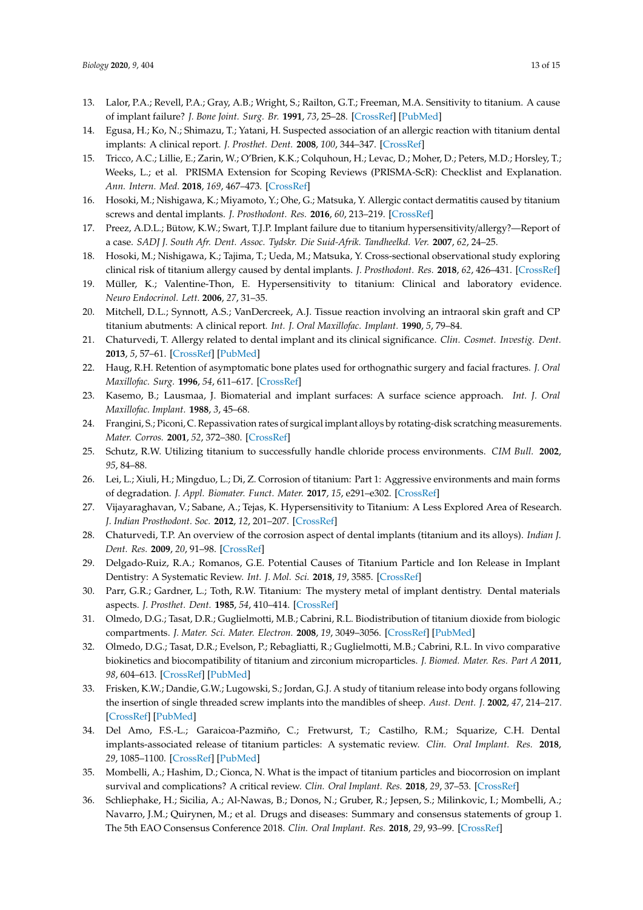- <span id="page-12-29"></span><span id="page-12-8"></span><span id="page-12-7"></span><span id="page-12-6"></span><span id="page-12-5"></span><span id="page-12-4"></span><span id="page-12-3"></span><span id="page-12-0"></span>13. Lalor, P.A.; Revell, P.A.; Gray, A.B.; Wright, S.; Railton, G.T.; Freeman, M.A. Sensitivity to titanium. A cause of implant failure? *J. Bone Joint. Surg. Br.* **1991**, *73*, 25–28. [\[CrossRef\]](http://dx.doi.org/10.1302/0301-620X.73B1.1991768) [\[PubMed\]](http://www.ncbi.nlm.nih.gov/pubmed/1991768)
- <span id="page-12-1"></span>14. Egusa, H.; Ko, N.; Shimazu, T.; Yatani, H. Suspected association of an allergic reaction with titanium dental implants: A clinical report. *J. Prosthet. Dent.* **2008**, *100*, 344–347. [\[CrossRef\]](http://dx.doi.org/10.1016/S0022-3913(08)60233-4)
- <span id="page-12-2"></span>15. Tricco, A.C.; Lillie, E.; Zarin, W.; O'Brien, K.K.; Colquhoun, H.; Levac, D.; Moher, D.; Peters, M.D.; Horsley, T.; Weeks, L.; et al. PRISMA Extension for Scoping Reviews (PRISMA-ScR): Checklist and Explanation. *Ann. Intern. Med.* **2018**, *169*, 467–473. [\[CrossRef\]](http://dx.doi.org/10.7326/M18-0850)
- <span id="page-12-27"></span>16. Hosoki, M.; Nishigawa, K.; Miyamoto, Y.; Ohe, G.; Matsuka, Y. Allergic contact dermatitis caused by titanium screws and dental implants. *J. Prosthodont. Res.* **2016**, *60*, 213–219. [\[CrossRef\]](http://dx.doi.org/10.1016/j.jpor.2015.12.004)
- <span id="page-12-31"></span><span id="page-12-30"></span>17. Preez, A.D.L.; Bütow, K.W.; Swart, T.J.P. Implant failure due to titanium hypersensitivity/allergy?—Report of a case. *SADJ J. South Afr. Dent. Assoc. Tydskr. Die Suid-Afrik. Tandheelkd. Ver.* **2007**, *62*, 24–25.
- <span id="page-12-28"></span>18. Hosoki, M.; Nishigawa, K.; Tajima, T.; Ueda, M.; Matsuka, Y. Cross-sectional observational study exploring clinical risk of titanium allergy caused by dental implants. *J. Prosthodont. Res.* **2018**, *62*, 426–431. [\[CrossRef\]](http://dx.doi.org/10.1016/j.jpor.2018.03.003)
- <span id="page-12-25"></span>19. Müller, K.; Valentine-Thon, E. Hypersensitivity to titanium: Clinical and laboratory evidence. *Neuro Endocrinol. Lett.* **2006**, *27*, 31–35.
- <span id="page-12-26"></span>20. Mitchell, D.L.; Synnott, A.S.; VanDercreek, A.J. Tissue reaction involving an intraoral skin graft and CP titanium abutments: A clinical report. *Int. J. Oral Maxillofac. Implant.* **1990**, *5*, 79–84.
- <span id="page-12-9"></span>21. Chaturvedi, T. Allergy related to dental implant and its clinical significance. *Clin. Cosmet. Investig. Dent.* **2013**, *5*, 57–61. [\[CrossRef\]](http://dx.doi.org/10.2147/CCIDE.S35170) [\[PubMed\]](http://www.ncbi.nlm.nih.gov/pubmed/23990733)
- <span id="page-12-10"></span>22. Haug, R.H. Retention of asymptomatic bone plates used for orthognathic surgery and facial fractures. *J. Oral Maxillofac. Surg.* **1996**, *54*, 611–617. [\[CrossRef\]](http://dx.doi.org/10.1016/S0278-2391(96)90644-8)
- <span id="page-12-11"></span>23. Kasemo, B.; Lausmaa, J. Biomaterial and implant surfaces: A surface science approach. *Int. J. Oral Maxillofac. Implant.* **1988**, *3*, 45–68.
- <span id="page-12-12"></span>24. Frangini, S.; Piconi, C. Repassivation rates of surgical implant alloys by rotating-disk scratching measurements. *Mater. Corros.* **2001**, *52*, 372–380. [\[CrossRef\]](http://dx.doi.org/10.1002/1521-4176(200105)52:5<372::AID-MACO372>3.0.CO;2-O)
- <span id="page-12-13"></span>25. Schutz, R.W. Utilizing titanium to successfully handle chloride process environments. *CIM Bull.* **2002**, *95*, 84–88.
- <span id="page-12-14"></span>26. Lei, L.; Xiuli, H.; Mingduo, L.; Di, Z. Corrosion of titanium: Part 1: Aggressive environments and main forms of degradation. *J. Appl. Biomater. Funct. Mater.* **2017**, *15*, e291–e302. [\[CrossRef\]](http://dx.doi.org/10.5301/jabfm.500038)
- <span id="page-12-15"></span>27. Vijayaraghavan, V.; Sabane, A.; Tejas, K. Hypersensitivity to Titanium: A Less Explored Area of Research. *J. Indian Prosthodont. Soc.* **2012**, *12*, 201–207. [\[CrossRef\]](http://dx.doi.org/10.1007/s13191-012-0139-4)
- <span id="page-12-16"></span>28. Chaturvedi, T.P. An overview of the corrosion aspect of dental implants (titanium and its alloys). *Indian J. Dent. Res.* **2009**, *20*, 91–98. [\[CrossRef\]](http://dx.doi.org/10.4103/0970-9290.49068)
- <span id="page-12-17"></span>29. Delgado-Ruiz, R.A.; Romanos, G.E. Potential Causes of Titanium Particle and Ion Release in Implant Dentistry: A Systematic Review. *Int. J. Mol. Sci.* **2018**, *19*, 3585. [\[CrossRef\]](http://dx.doi.org/10.3390/ijms19113585)
- <span id="page-12-18"></span>30. Parr, G.R.; Gardner, L.; Toth, R.W. Titanium: The mystery metal of implant dentistry. Dental materials aspects. *J. Prosthet. Dent.* **1985**, *54*, 410–414. [\[CrossRef\]](http://dx.doi.org/10.1016/0022-3913(85)90562-1)
- <span id="page-12-19"></span>31. Olmedo, D.G.; Tasat, D.R.; Guglielmotti, M.B.; Cabrini, R.L. Biodistribution of titanium dioxide from biologic compartments. *J. Mater. Sci. Mater. Electron.* **2008**, *19*, 3049–3056. [\[CrossRef\]](http://dx.doi.org/10.1007/s10856-008-3438-x) [\[PubMed\]](http://www.ncbi.nlm.nih.gov/pubmed/18389343)
- <span id="page-12-20"></span>32. Olmedo, D.G.; Tasat, D.R.; Evelson, P.; Rebagliatti, R.; Guglielmotti, M.B.; Cabrini, R.L. In vivo comparative biokinetics and biocompatibility of titanium and zirconium microparticles. *J. Biomed. Mater. Res. Part A* **2011**, *98*, 604–613. [\[CrossRef\]](http://dx.doi.org/10.1002/jbm.a.33145) [\[PubMed\]](http://www.ncbi.nlm.nih.gov/pubmed/21721117)
- <span id="page-12-21"></span>33. Frisken, K.W.; Dandie, G.W.; Lugowski, S.; Jordan, G.J. A study of titanium release into body organs following the insertion of single threaded screw implants into the mandibles of sheep. *Aust. Dent. J.* **2002**, *47*, 214–217. [\[CrossRef\]](http://dx.doi.org/10.1111/j.1834-7819.2002.tb00331.x) [\[PubMed\]](http://www.ncbi.nlm.nih.gov/pubmed/12405460)
- <span id="page-12-22"></span>34. Del Amo, F.S.-L.; Garaicoa-Pazmiño, C.; Fretwurst, T.; Castilho, R.M.; Squarize, C.H. Dental implants-associated release of titanium particles: A systematic review. *Clin. Oral Implant. Res.* **2018**, *29*, 1085–1100. [\[CrossRef\]](http://dx.doi.org/10.1111/clr.13372) [\[PubMed\]](http://www.ncbi.nlm.nih.gov/pubmed/30280418)
- <span id="page-12-23"></span>35. Mombelli, A.; Hashim, D.; Cionca, N. What is the impact of titanium particles and biocorrosion on implant survival and complications? A critical review. *Clin. Oral Implant. Res.* **2018**, *29*, 37–53. [\[CrossRef\]](http://dx.doi.org/10.1111/clr.13305)
- <span id="page-12-24"></span>36. Schliephake, H.; Sicilia, A.; Al-Nawas, B.; Donos, N.; Gruber, R.; Jepsen, S.; Milinkovic, I.; Mombelli, A.; Navarro, J.M.; Quirynen, M.; et al. Drugs and diseases: Summary and consensus statements of group 1. The 5th EAO Consensus Conference 2018. *Clin. Oral Implant. Res.* **2018**, *29*, 93–99. [\[CrossRef\]](http://dx.doi.org/10.1111/clr.13270)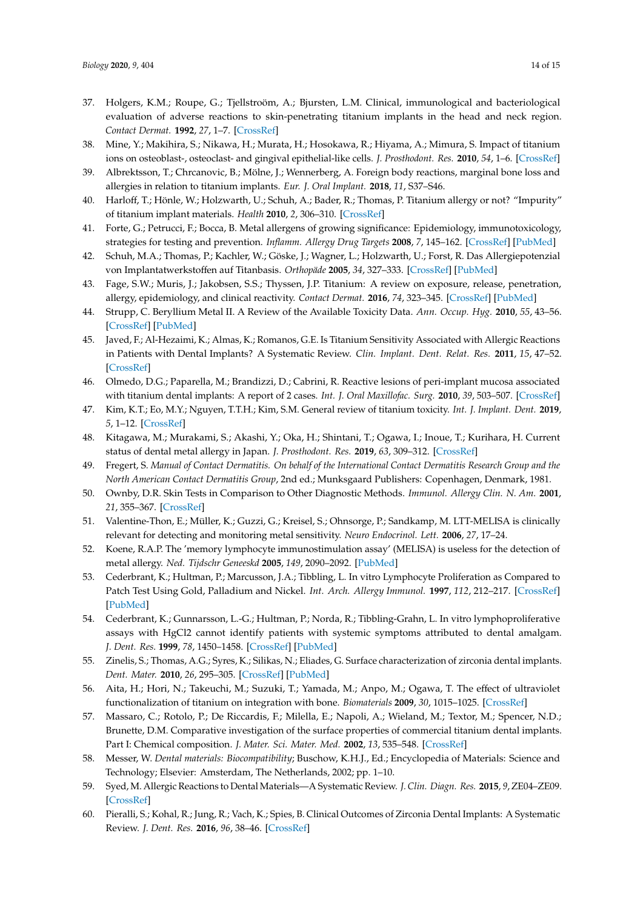- <span id="page-13-0"></span>37. Holgers, K.M.; Roupe, G.; Tjellstroöm, A.; Bjursten, L.M. Clinical, immunological and bacteriological evaluation of adverse reactions to skin-penetrating titanium implants in the head and neck region. *Contact Dermat.* **1992**, *27*, 1–7. [\[CrossRef\]](http://dx.doi.org/10.1111/j.1600-0536.1992.tb05189.x)
- <span id="page-13-1"></span>38. Mine, Y.; Makihira, S.; Nikawa, H.; Murata, H.; Hosokawa, R.; Hiyama, A.; Mimura, S. Impact of titanium ions on osteoblast-, osteoclast- and gingival epithelial-like cells. *J. Prosthodont. Res.* **2010**, *54*, 1–6. [\[CrossRef\]](http://dx.doi.org/10.1016/j.jpor.2009.07.003)
- <span id="page-13-17"></span><span id="page-13-2"></span>39. Albrektsson, T.; Chrcanovic, B.; Mölne, J.; Wennerberg, A. Foreign body reactions, marginal bone loss and allergies in relation to titanium implants. *Eur. J. Oral Implant.* **2018**, *11*, S37–S46.
- <span id="page-13-3"></span>40. Harloff, T.; Hönle, W.; Holzwarth, U.; Schuh, A.; Bader, R.; Thomas, P. Titanium allergy or not? "Impurity" of titanium implant materials. *Health* **2010**, *2*, 306–310. [\[CrossRef\]](http://dx.doi.org/10.4236/health.2010.24045)
- <span id="page-13-5"></span>41. Forte, G.; Petrucci, F.; Bocca, B. Metal allergens of growing significance: Epidemiology, immunotoxicology, strategies for testing and prevention. *Inflamm. Allergy Drug Targets* **2008**, *7*, 145–162. [\[CrossRef\]](http://dx.doi.org/10.2174/187152808785748146) [\[PubMed\]](http://www.ncbi.nlm.nih.gov/pubmed/18782021)
- <span id="page-13-18"></span>42. Schuh, M.A.; Thomas, P.; Kachler, W.; Göske, J.; Wagner, L.; Holzwarth, U.; Forst, R. Das Allergiepotenzial von Implantatwerkstoffen auf Titanbasis. *Orthopäde* **2005**, *34*, 327–333. [\[CrossRef\]](http://dx.doi.org/10.1007/s00132-005-0764-2) [\[PubMed\]](http://www.ncbi.nlm.nih.gov/pubmed/15706453)
- <span id="page-13-21"></span><span id="page-13-4"></span>43. Fage, S.W.; Muris, J.; Jakobsen, S.S.; Thyssen, J.P. Titanium: A review on exposure, release, penetration, allergy, epidemiology, and clinical reactivity. *Contact Dermat.* **2016**, *74*, 323–345. [\[CrossRef\]](http://dx.doi.org/10.1111/cod.12565) [\[PubMed\]](http://www.ncbi.nlm.nih.gov/pubmed/27027398)
- <span id="page-13-19"></span><span id="page-13-6"></span>44. Strupp, C. Beryllium Metal II. A Review of the Available Toxicity Data. *Ann. Occup. Hyg.* **2010**, *55*, 43–56. [\[CrossRef\]](http://dx.doi.org/10.1093/annhyg/meq073) [\[PubMed\]](http://www.ncbi.nlm.nih.gov/pubmed/21196456)
- <span id="page-13-20"></span><span id="page-13-7"></span>45. Javed, F.; Al-Hezaimi, K.; Almas, K.; Romanos, G.E. Is Titanium Sensitivity Associated with Allergic Reactions in Patients with Dental Implants? A Systematic Review. *Clin. Implant. Dent. Relat. Res.* **2011**, *15*, 47–52. [\[CrossRef\]](http://dx.doi.org/10.1111/j.1708-8208.2010.00330.x)
- <span id="page-13-8"></span>46. Olmedo, D.G.; Paparella, M.; Brandizzi, D.; Cabrini, R. Reactive lesions of peri-implant mucosa associated with titanium dental implants: A report of 2 cases. *Int. J. Oral Maxillofac. Surg.* **2010**, *39*, 503–507. [\[CrossRef\]](http://dx.doi.org/10.1016/j.ijom.2009.11.007)
- <span id="page-13-9"></span>47. Kim, K.T.; Eo, M.Y.; Nguyen, T.T.H.; Kim, S.M. General review of titanium toxicity. *Int. J. Implant. Dent.* **2019**, *5*, 1–12. [\[CrossRef\]](http://dx.doi.org/10.1186/s40729-019-0162-x)
- <span id="page-13-10"></span>48. Kitagawa, M.; Murakami, S.; Akashi, Y.; Oka, H.; Shintani, T.; Ogawa, I.; Inoue, T.; Kurihara, H. Current status of dental metal allergy in Japan. *J. Prosthodont. Res.* **2019**, *63*, 309–312. [\[CrossRef\]](http://dx.doi.org/10.1016/j.jpor.2019.01.003)
- <span id="page-13-11"></span>49. Fregert, S. *Manual of Contact Dermatitis. On behalf of the International Contact Dermatitis Research Group and the North American Contact Dermatitis Group*, 2nd ed.; Munksgaard Publishers: Copenhagen, Denmark, 1981.
- <span id="page-13-12"></span>50. Ownby, D.R. Skin Tests in Comparison to Other Diagnostic Methods. *Immunol. Allergy Clin. N. Am.* **2001**, *21*, 355–367. [\[CrossRef\]](http://dx.doi.org/10.1016/S0889-8561(05)70211-3)
- <span id="page-13-13"></span>51. Valentine-Thon, E.; Müller, K.; Guzzi, G.; Kreisel, S.; Ohnsorge, P.; Sandkamp, M. LTT-MELISA is clinically relevant for detecting and monitoring metal sensitivity. *Neuro Endocrinol. Lett.* **2006**, *27*, 17–24.
- <span id="page-13-14"></span>52. Koene, R.A.P. The 'memory lymphocyte immunostimulation assay' (MELISA) is useless for the detection of metal allergy. *Ned. Tijdschr Geneeskd* **2005**, *149*, 2090–2092. [\[PubMed\]](http://www.ncbi.nlm.nih.gov/pubmed/16201597)
- <span id="page-13-15"></span>53. Cederbrant, K.; Hultman, P.; Marcusson, J.A.; Tibbling, L. In vitro Lymphocyte Proliferation as Compared to Patch Test Using Gold, Palladium and Nickel. *Int. Arch. Allergy Immunol.* **1997**, *112*, 212–217. [\[CrossRef\]](http://dx.doi.org/10.1159/000237456) [\[PubMed\]](http://www.ncbi.nlm.nih.gov/pubmed/9066505)
- <span id="page-13-16"></span>54. Cederbrant, K.; Gunnarsson, L.-G.; Hultman, P.; Norda, R.; Tibbling-Grahn, L. In vitro lymphoproliferative assays with HgCl2 cannot identify patients with systemic symptoms attributed to dental amalgam. *J. Dent. Res.* **1999**, *78*, 1450–1458. [\[CrossRef\]](http://dx.doi.org/10.1177/00220345990780081101) [\[PubMed\]](http://www.ncbi.nlm.nih.gov/pubmed/10439033)
- <span id="page-13-22"></span>55. Zinelis, S.; Thomas, A.G.; Syres, K.; Silikas, N.; Eliades, G. Surface characterization of zirconia dental implants. *Dent. Mater.* **2010**, *26*, 295–305. [\[CrossRef\]](http://dx.doi.org/10.1016/j.dental.2009.11.079) [\[PubMed\]](http://www.ncbi.nlm.nih.gov/pubmed/20018361)
- <span id="page-13-23"></span>56. Aita, H.; Hori, N.; Takeuchi, M.; Suzuki, T.; Yamada, M.; Anpo, M.; Ogawa, T. The effect of ultraviolet functionalization of titanium on integration with bone. *Biomaterials* **2009**, *30*, 1015–1025. [\[CrossRef\]](http://dx.doi.org/10.1016/j.biomaterials.2008.11.004)
- <span id="page-13-24"></span>57. Massaro, C.; Rotolo, P.; De Riccardis, F.; Milella, E.; Napoli, A.; Wieland, M.; Textor, M.; Spencer, N.D.; Brunette, D.M. Comparative investigation of the surface properties of commercial titanium dental implants. Part I: Chemical composition. *J. Mater. Sci. Mater. Med.* **2002**, *13*, 535–548. [\[CrossRef\]](http://dx.doi.org/10.1023/A:1015170625506)
- <span id="page-13-25"></span>58. Messer, W. *Dental materials: Biocompatibility*; Buschow, K.H.J., Ed.; Encyclopedia of Materials: Science and Technology; Elsevier: Amsterdam, The Netherlands, 2002; pp. 1–10.
- <span id="page-13-26"></span>59. Syed, M. Allergic Reactions to Dental Materials—A Systematic Review. *J. Clin. Diagn. Res.* **2015**, *9*, ZE04–ZE09. [\[CrossRef\]](http://dx.doi.org/10.7860/JCDR/2015/15640.6589)
- <span id="page-13-27"></span>60. Pieralli, S.; Kohal, R.; Jung, R.; Vach, K.; Spies, B. Clinical Outcomes of Zirconia Dental Implants: A Systematic Review. *J. Dent. Res.* **2016**, *96*, 38–46. [\[CrossRef\]](http://dx.doi.org/10.1177/0022034516664043)